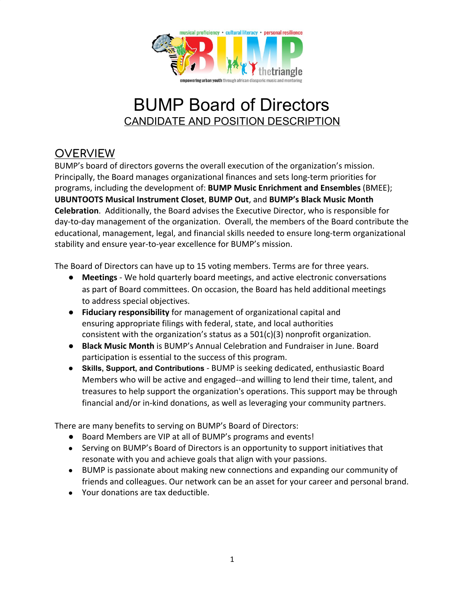

## BUMP Board of Directors CANDIDATE AND POSITION DESCRIPTION

## **OVERVIEW**

BUMP's board of directors governs the overall execution of the organization's mission. Principally, the Board manages organizational finances and sets long-term priorities for programs, including the development of: **BUMP Music Enrichment and Ensembles** (BMEE); **UBUNTOOTS Musical Instrument Closet**, **BUMP Out**, and **BUMP's Black Music Month Celebration**. Additionally, the Board advises the Executive Director, who is responsible for day-to-day management of the organization. Overall, the members of the Board contribute the educational, management, legal, and financial skills needed to ensure long-term organizational stability and ensure year-to-year excellence for BUMP's mission.

The Board of Directors can have up to 15 voting members. Terms are for three years.

- **Meetings** We hold quarterly board meetings, and active electronic conversations as part of Board committees. On occasion, the Board has held additional meetings to address special objectives.
- **Fiduciary responsibility** for management of organizational capital and ensuring appropriate filings with federal, state, and local authorities consistent with the organization's status as a  $501(c)(3)$  nonprofit organization.
- **Black Music Month** is BUMP's Annual Celebration and Fundraiser in June. Board participation is essential to the success of this program.
- **Skills, Support, and Contributions** BUMP is seeking dedicated, enthusiastic Board Members who will be active and engaged--and willing to lend their time, talent, and treasures to help support the organization's operations. This support may be through financial and/or in-kind donations, as well as leveraging your community partners.

There are many benefits to serving on BUMP's Board of Directors:

- Board Members are VIP at all of BUMP's programs and events!
- Serving on BUMP's Board of Directors is an opportunity to support initiatives that resonate with you and achieve goals that align with your passions.
- BUMP is passionate about making new connections and expanding our community of friends and colleagues. Our network can be an asset for your career and personal brand.
- Your donations are tax deductible.